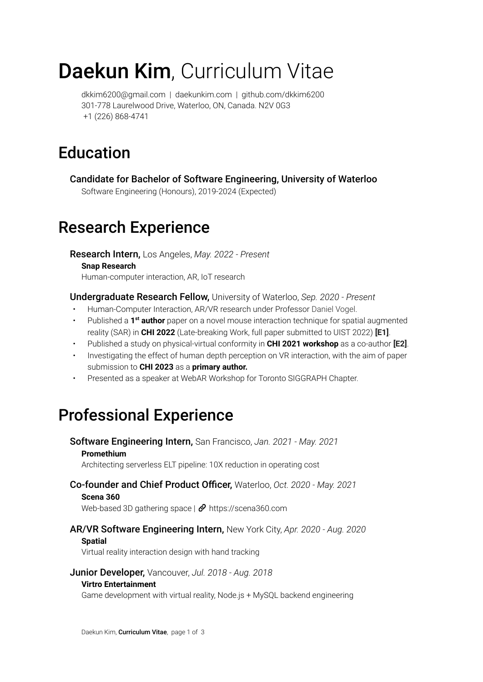# Daekun Kim, Curriculum Vitae

[dkkim6200@gmail.com](mailto:dkkim6200@gmail.com) | [daekunkim.com](https://daekunkim.com) | [github.com/dkkim6200](https://github.com/dkkim6200) 301-778 Laurelwood Drive, Waterloo, ON, Canada. N2V 0G3 +1 (226) 868-4741

## Education

Candidate for Bachelor of Software Engineering, University of Waterloo Software Engineering (Honours), 2019-2024 (Expected)

### Research Experience

Research Intern, Los Angeles, *May. 2022 - Present* **Snap [Research](https://research.snap.com/)**

Human-computer interaction, AR, IoT research

Undergraduate Research Fellow, University of Waterloo, *Sep. 2020 - Present*

- Human-Computer Interaction, AR/VR research under Professor [Daniel](https://scholar.google.ca/citations?user=Yi5nK1EAAAAJ&hl=en&oi=ao) Vogel.
- **•** Published a 1<sup>st</sup> author paper on a novel mouse interaction technique for spatial augmented reality (SAR) in **CHI 2022** (Late-breaking Work, full paper submitted to UIST 2022) **[\[E1\]](#page-1-0)**.
- Published a study on physical-virtual conformity in **CHI 2021 workshop** as a co-author **[\[E2\]](#page-1-1)**.
- Investigating the effect of human depth perception on VR interaction, with the aim of paper submission to **CHI 2023** as a **primary author.**
- Presented as a speaker at WebAR Workshop for Toronto SIGGRAPH Chapter.

## Professional Experience

Software Engineering Intern, San Francisco, *Jan. 2021 - May. 2021* **Promethium**

### Architecting serverless ELT pipeline: 10X reduction in operating cost

#### Co-founder and Chief Product Officer, Waterloo, *Oct. 2020 - May. 2021*

#### **Scena 360**

Web-based 3D gathering space  $\mathcal O$  <https://scena360.com>

### AR/VR Software Engineering Intern, New York City, *Apr. 2020 - Aug. 2020*

#### **Spatial**

Virtual reality interaction design with hand tracking

#### Junior Developer, Vancouver, *Jul. 2018 - Aug. 2018*

#### **Virtro Entertainment**

Game development with virtual reality, Node.js + MySQL backend engineering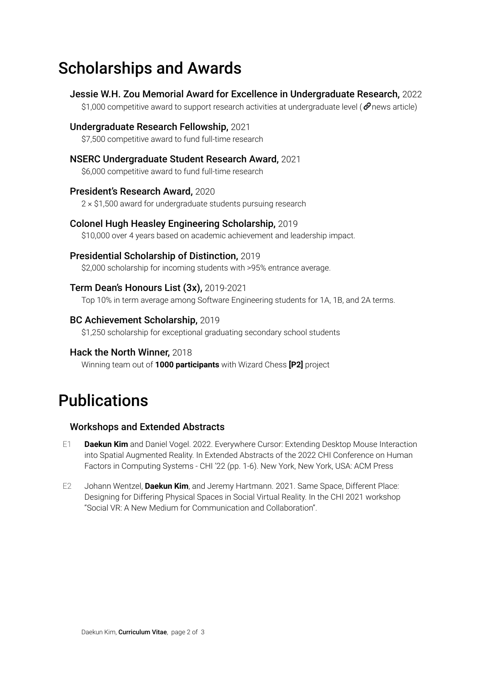# Scholarships and Awards

Jessie W.H. Zou Memorial Award for Excellence in Undergraduate Research, 2022 \$1,000 competitive award to support research activities at undergraduate level [\(](https://cs.uwaterloo.ca/news/daekun-kim-receives-2022-jessie-wh-zou-memorial-award) $\mathcal O$  news [article\)](https://cs.uwaterloo.ca/news/daekun-kim-receives-2022-jessie-wh-zou-memorial-award) Undergraduate Research Fellowship, 2021 \$7,500 competitive award to fund full-time research NSERC Undergraduate Student Research Award, 2021 \$6,000 competitive award to fund full-time research President's Research Award, 2020 2 × \$1,500 award for undergraduate students pursuing research Colonel Hugh Heasley Engineering Scholarship, 2019 \$10,000 over 4 years based on academic achievement and leadership impact. Presidential Scholarship of Distinction, 2019 \$2,000 scholarship for incoming students with >95% entrance average. Term Dean's Honours List (3x), 2019-2021 Top 10% in term average among Software Engineering students for 1A, 1B, and 2A terms.

### BC Achievement Scholarship, 2019

\$1,250 scholarship for exceptional graduating secondary school students

### Hack the North Winner, 2018

Winning team out of **1000 participants** with Wizard Chess **[\[P2\]](#page-2-0)** project

## Publications

### Workshops and Extended Abstracts

- <span id="page-1-0"></span>E1 **Daekun Kim** and Daniel Vogel. 2022. Everywhere Cursor: Extending Desktop Mouse Interaction into Spatial Augmented Reality. In Extended Abstracts of the 2022 CHI Conference on Human Factors in Computing Systems - CHI '22 (pp. 1-6). New York, New York, USA: ACM Press
- <span id="page-1-1"></span>E2 Johann Wentzel, **Daekun Kim**, and Jeremy Hartmann. 2021. Same Space, Different Place: Designing for Differing Physical Spaces in Social Virtual Reality. In the CHI 2021 workshop "Social VR: A New Medium for Communication and Collaboration".